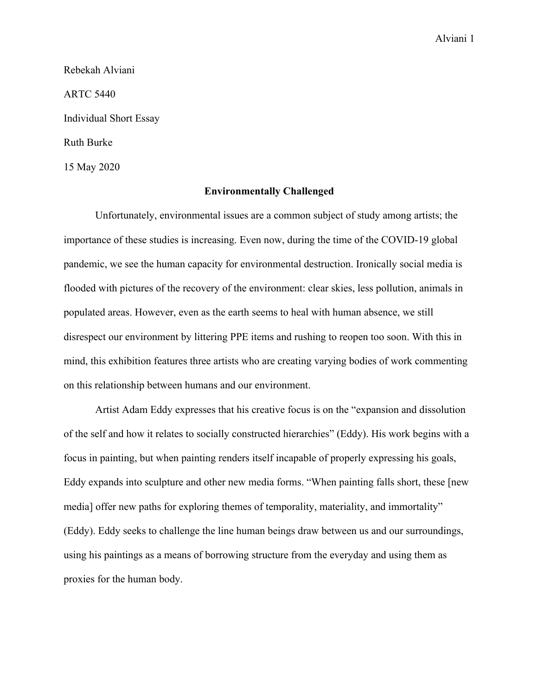Alviani 1

Rebekah Alviani ARTC 5440 Individual Short Essay Ruth Burke 15 May 2020

## **Environmentally Challenged**

Unfortunately, environmental issues are a common subject of study among artists; the importance of these studies is increasing. Even now, during the time of the COVID-19 global pandemic, we see the human capacity for environmental destruction. Ironically social media is flooded with pictures of the recovery of the environment: clear skies, less pollution, animals in populated areas. However, even as the earth seems to heal with human absence, we still disrespect our environment by littering PPE items and rushing to reopen too soon. With this in mind, this exhibition features three artists who are creating varying bodies of work commenting on this relationship between humans and our environment.

Artist Adam Eddy expresses that his creative focus is on the "expansion and dissolution of the self and how it relates to socially constructed hierarchies" (Eddy). His work begins with a focus in painting, but when painting renders itself incapable of properly expressing his goals, Eddy expands into sculpture and other new media forms. "When painting falls short, these [new media] offer new paths for exploring themes of temporality, materiality, and immortality" (Eddy). Eddy seeks to challenge the line human beings draw between us and our surroundings, using his paintings as a means of borrowing structure from the everyday and using them as proxies for the human body.